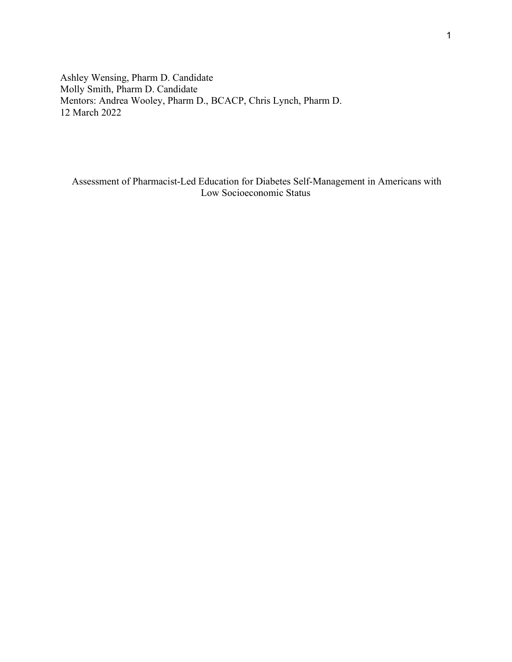Ashley Wensing, Pharm D. Candidate Molly Smith, Pharm D. Candidate Mentors: Andrea Wooley, Pharm D., BCACP, Chris Lynch, Pharm D. 12 March 2022

 Assessment of Pharmacist-Led Education for Diabetes Self-Management in Americans with Low Socioeconomic Status